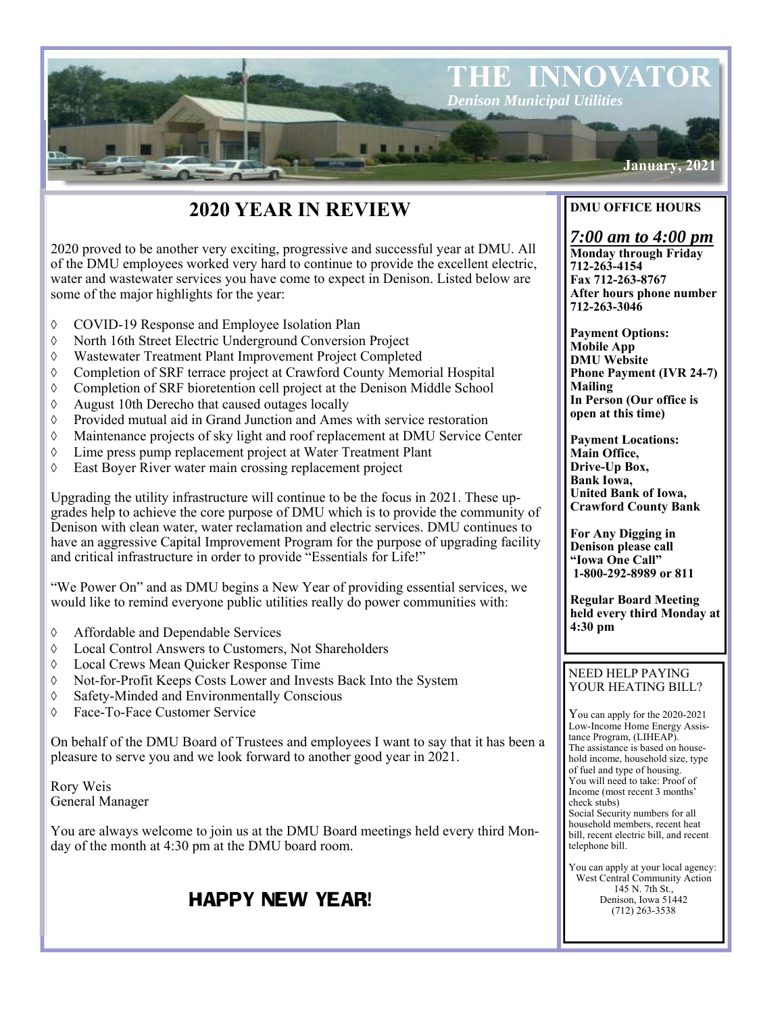

# **2020 YEAR IN REVIEW**

2020 proved to be another very exciting, progressive and successful year at DMU. All of the DMU employees worked very hard to continue to provide the excellent electric, water and wastewater services you have come to expect in Denison. Listed below are some of the major highlights for the year:

- COVID-19 Response and Employee Isolation Plan
- North 16th Street Electric Underground Conversion Project
- Wastewater Treatment Plant Improvement Project Completed
- Completion of SRF terrace project at Crawford County Memorial Hospital
- Completion of SRF bioretention cell project at the Denison Middle School
- $\Diamond$  August 10th Derecho that caused outages locally
- Provided mutual aid in Grand Junction and Ames with service restoration
- Maintenance projects of sky light and roof replacement at DMU Service Center
- Lime press pump replacement project at Water Treatment Plant
- East Boyer River water main crossing replacement project

Upgrading the utility infrastructure will continue to be the focus in 2021. These upgrades help to achieve the core purpose of DMU which is to provide the community of Denison with clean water, water reclamation and electric services. DMU continues to have an aggressive Capital Improvement Program for the purpose of upgrading facility and critical infrastructure in order to provide "Essentials for Life!"

"We Power On" and as DMU begins a New Year of providing essential services, we would like to remind everyone public utilities really do power communities with:

- Affordable and Dependable Services
- Local Control Answers to Customers, Not Shareholders
- Local Crews Mean Quicker Response Time
- Not-for-Profit Keeps Costs Lower and Invests Back Into the System
- Safety-Minded and Environmentally Conscious
- Face-To-Face Customer Service

On behalf of the DMU Board of Trustees and employees I want to say that it has been a pleasure to serve you and we look forward to another good year in 2021.

Rory Weis General Manager

You are always welcome to join us at the DMU Board meetings held every third Monday of the month at 4:30 pm at the DMU board room.

## HAPPY NEW YEAR!

## **DMU OFFICE HOURS**

## *7:00 am to 4:00 pm*

**Monday through Friday 712-263-4154 Fax 712-263-8767 After hours phone number 712-263-3046** 

**Payment Options: Mobile App DMU Website Phone Payment (IVR 24-7) Mailing In Person (Our office is open at this time)** 

**Payment Locations: Main Office, Drive-Up Box, Bank Iowa, United Bank of Iowa, Crawford County Bank** 

**For Any Digging in Denison please call "Iowa One Call" 1-800-292-8989 or 811** 

**Regular Board Meeting held every third Monday at 4:30 pm** 

### NEED HELP PAYING YOUR HEATING BILL?

You can apply for the 2020-2021 Low-Income Home Energy Assistance Program, (LIHEAP). The assistance is based on household income, household size, type of fuel and type of housing. You will need to take: Proof of Income (most recent 3 months' check stubs) Social Security numbers for all household members, recent heat bill, recent electric bill, and recent telephone bill.

You can apply at your local agency: West Central Community Action 145 N. 7th St., Denison, Iowa 51442 (712) 263-3538